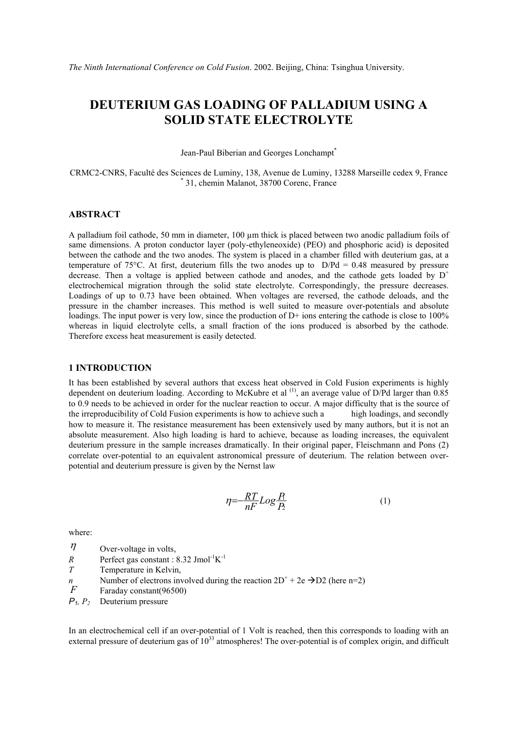# **DEUTERIUM GAS LOADING OF PALLADIUM USING A SOLID STATE ELECTROLYTE**

Jean-Paul Biberian and Georges Lonchampt<sup>\*</sup>

CRMC2-CNRS, Faculté des Sciences de Luminy, 138, Avenue de Luminy, 13288 Marseille cedex 9, France \* 31, chemin Malanot, 38700 Corenc, France

### **ABSTRACT**

A palladium foil cathode, 50 mm in diameter,  $100 \mu m$  thick is placed between two anodic palladium foils of same dimensions. A proton conductor layer (poly-ethyleneoxide) (PEO) and phosphoric acid) is deposited between the cathode and the two anodes. The system is placed in a chamber filled with deuterium gas, at a temperature of 75°C. At first, deuterium fills the two anodes up to  $D/Pd = 0.48$  measured by pressure decrease. Then a voltage is applied between cathode and anodes, and the cathode gets loaded by  $D^+$ electrochemical migration through the solid state electrolyte. Correspondingly, the pressure decreases. Loadings of up to 0.73 have been obtained. When voltages are reversed, the cathode deloads, and the pressure in the chamber increases. This method is well suited to measure over-potentials and absolute loadings. The input power is very low, since the production of D+ ions entering the cathode is close to 100% whereas in liquid electrolyte cells, a small fraction of the ions produced is absorbed by the cathode. Therefore excess heat measurement is easily detected.

#### **1 INTRODUCTION**

It has been established by several authors that excess heat observed in Cold Fusion experiments is highly dependent on deuterium loading. According to McKubre et al  $^{(1)}$ , an average value of D/Pd larger than 0.85 to 0.9 needs to be achieved in order for the nuclear reaction to occur. A major difficulty that is the source of the irreproducibility of Cold Fusion experiments is how to achieve such a high loadings, and secondly how to measure it. The resistance measurement has been extensively used by many authors, but it is not an absolute measurement. Also high loading is hard to achieve, because as loading increases, the equivalent deuterium pressure in the sample increases dramatically. In their original paper, Fleischmann and Pons (2) correlate over-potential to an equivalent astronomical pressure of deuterium. The relation between overpotential and deuterium pressure is given by the Nernst law

$$
\eta = -\frac{RT}{nF} Log \frac{R}{P} \tag{1}
$$

where:

 $\eta$  Over-voltage in volts,

- *R* Perfect gas constant :  $8.32$  Jmol<sup>-1</sup>K<sup>-1</sup>
- *T* Temperature in Kelvin,
- *n* Number of electrons involved during the reaction  $2D^+ + 2e \rightarrow D2$  (here n=2)
- *F* Faraday constant(96500)

*P1, P2* Deuterium pressure

In an electrochemical cell if an over-potential of 1 Volt is reached, then this corresponds to loading with an external pressure of deuterium gas of  $10^{33}$  atmospheres! The over-potential is of complex origin, and difficult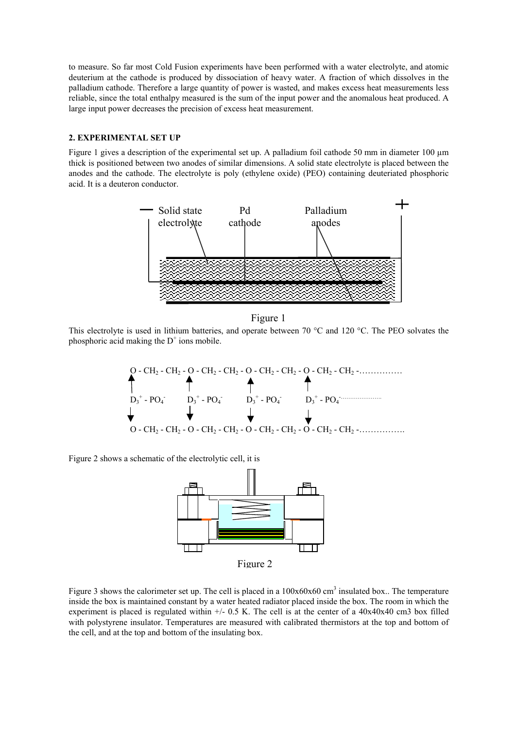to measure. So far most Cold Fusion experiments have been performed with a water electrolyte, and atomic deuterium at the cathode is produced by dissociation of heavy water. A fraction of which dissolves in the palladium cathode. Therefore a large quantity of power is wasted, and makes excess heat measurements less reliable, since the total enthalpy measured is the sum of the input power and the anomalous heat produced. A large input power decreases the precision of excess heat measurement.

#### **2. EXPERIMENTAL SET UP**

Figure 1 gives a description of the experimental set up. A palladium foil cathode 50 mm in diameter 100  $\mu$ m thick is positioned between two anodes of similar dimensions. A solid state electrolyte is placed between the anodes and the cathode. The electrolyte is poly (ethylene oxide) (PEO) containing deuteriated phosphoric acid. It is a deuteron conductor.



Figure 1

This electrolyte is used in lithium batteries, and operate between 70 °C and 120 °C. The PEO solvates the phosphoric acid making the  $D^+$  ions mobile.



Figure 2 shows a schematic of the electrolytic cell, it is



Figure 3 shows the calorimeter set up. The cell is placed in a  $100x60x60$  cm<sup>3</sup> insulated box.. The temperature inside the box is maintained constant by a water heated radiator placed inside the box. The room in which the experiment is placed is regulated within  $+/- 0.5$  K. The cell is at the center of a  $40x40x40$  cm3 box filled with polystyrene insulator. Temperatures are measured with calibrated thermistors at the top and bottom of the cell, and at the top and bottom of the insulating box.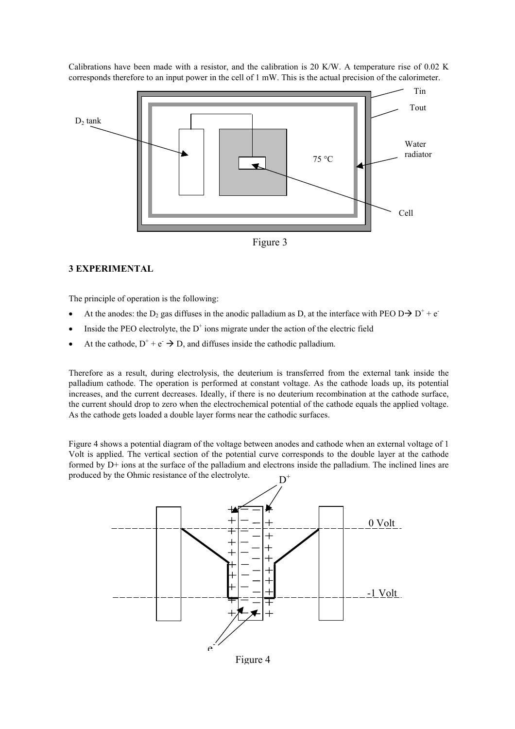Calibrations have been made with a resistor, and the calibration is 20 K/W. A temperature rise of 0.02 K corresponds therefore to an input power in the cell of 1 mW. This is the actual precision of the calorimeter.



#### **3 EXPERIMENTAL**

The principle of operation is the following:

- At the anodes: the D<sub>2</sub> gas diffuses in the anodic palladium as D, at the interface with PEO D $\rightarrow$  D<sup>+</sup> + e<sup>-</sup>
- Inside the PEO electrolyte, the  $D^+$  ions migrate under the action of the electric field
- At the cathode,  $D^+ + e^- \rightarrow D$ , and diffuses inside the cathodic palladium.

Therefore as a result, during electrolysis, the deuterium is transferred from the external tank inside the palladium cathode. The operation is performed at constant voltage. As the cathode loads up, its potential increases, and the current decreases. Ideally, if there is no deuterium recombination at the cathode surface, the current should drop to zero when the electrochemical potential of the cathode equals the applied voltage. As the cathode gets loaded a double layer forms near the cathodic surfaces.

Figure 4 shows a potential diagram of the voltage between anodes and cathode when an external voltage of 1 Volt is applied. The vertical section of the potential curve corresponds to the double layer at the cathode formed by D+ ions at the surface of the palladium and electrons inside the palladium. The inclined lines are produced by the Ohmic resistance of the electrolyte.

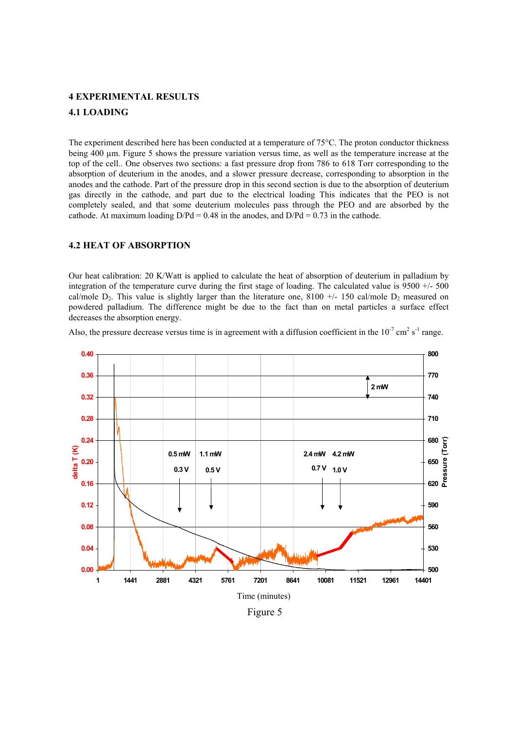## **4 EXPERIMENTAL RESULTS 4.1 LOADING**

The experiment described here has been conducted at a temperature of 75°C. The proton conductor thickness being 400 µm. Figure 5 shows the pressure variation versus time, as well as the temperature increase at the top of the cell.. One observes two sections: a fast pressure drop from 786 to 618 Torr corresponding to the absorption of deuterium in the anodes, and a slower pressure decrease, corresponding to absorption in the anodes and the cathode. Part of the pressure drop in this second section is due to the absorption of deuterium gas directly in the cathode, and part due to the electrical loading This indicates that the PEO is not completely sealed, and that some deuterium molecules pass through the PEO and are absorbed by the cathode. At maximum loading  $D/Pd = 0.48$  in the anodes, and  $D/Pd = 0.73$  in the cathode.

#### **4.2 HEAT OF ABSORPTION**

Our heat calibration: 20 K/Watt is applied to calculate the heat of absorption of deuterium in palladium by integration of the temperature curve during the first stage of loading. The calculated value is 9500 +/- 500 cal/mole  $D_2$ . This value is slightly larger than the literature one, 8100 +/- 150 cal/mole  $D_2$  measured on powdered palladium. The difference might be due to the fact than on metal particles a surface effect decreases the absorption energy.

Also, the pressure decrease versus time is in agreement with a diffusion coefficient in the  $10^{-7}$  cm<sup>2</sup> s<sup>-1</sup> range.



Figure 5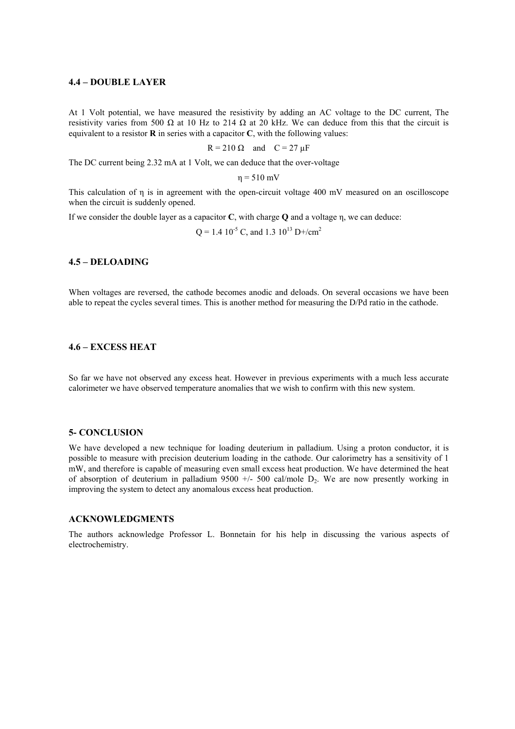#### **4.4 – DOUBLE LAYER**

At 1 Volt potential, we have measured the resistivity by adding an AC voltage to the DC current, The resistivity varies from 500  $\Omega$  at 10 Hz to 214  $\Omega$  at 20 kHz. We can deduce from this that the circuit is equivalent to a resistor **R** in series with a capacitor **C**, with the following values:

$$
R = 210 \Omega \quad \text{and} \quad C = 27 \mu F
$$

The DC current being 2.32 mA at 1 Volt, we can deduce that the over-voltage

 $n = 510$  mV

This calculation of η is in agreement with the open-circuit voltage 400 mV measured on an oscilloscope when the circuit is suddenly opened.

If we consider the double layer as a capacitor **C**, with charge **Q** and a voltage η, we can deduce:

 $Q = 1.4 \, 10^{-5}$  C, and 1.3  $10^{13}$  D+/cm<sup>2</sup>

#### **4.5 – DELOADING**

When voltages are reversed, the cathode becomes anodic and deloads. On several occasions we have been able to repeat the cycles several times. This is another method for measuring the D/Pd ratio in the cathode.

#### **4.6 – EXCESS HEAT**

So far we have not observed any excess heat. However in previous experiments with a much less accurate calorimeter we have observed temperature anomalies that we wish to confirm with this new system.

#### **5- CONCLUSION**

We have developed a new technique for loading deuterium in palladium. Using a proton conductor, it is possible to measure with precision deuterium loading in the cathode. Our calorimetry has a sensitivity of 1 mW, and therefore is capable of measuring even small excess heat production. We have determined the heat of absorption of deuterium in palladium  $9500 +/- 500$  cal/mole  $D_2$ . We are now presently working in improving the system to detect any anomalous excess heat production.

#### **ACKNOWLEDGMENTS**

The authors acknowledge Professor L. Bonnetain for his help in discussing the various aspects of electrochemistry.